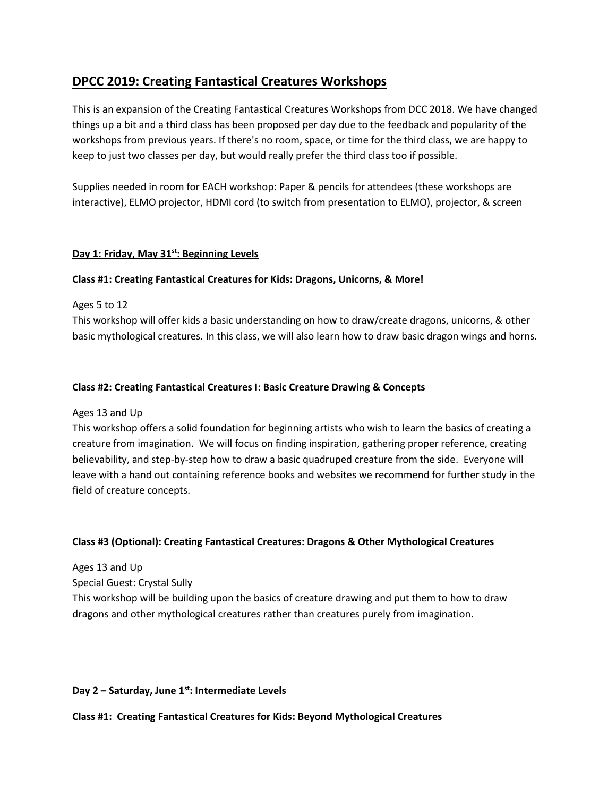# **DPCC 2019: Creating Fantastical Creatures Workshops**

This is an expansion of the Creating Fantastical Creatures Workshops from DCC 2018. We have changed things up a bit and a third class has been proposed per day due to the feedback and popularity of the workshops from previous years. If there's no room, space, or time for the third class, we are happy to keep to just two classes per day, but would really prefer the third class too if possible.

Supplies needed in room for EACH workshop: Paper & pencils for attendees (these workshops are interactive), ELMO projector, HDMI cord (to switch from presentation to ELMO), projector, & screen

# **Day 1: Friday, May 31st: Beginning Levels**

# **Class #1: Creating Fantastical Creatures for Kids: Dragons, Unicorns, & More!**

Ages 5 to 12

This workshop will offer kids a basic understanding on how to draw/create dragons, unicorns, & other basic mythological creatures. In this class, we will also learn how to draw basic dragon wings and horns.

#### **Class #2: Creating Fantastical Creatures I: Basic Creature Drawing & Concepts**

Ages 13 and Up

This workshop offers a solid foundation for beginning artists who wish to learn the basics of creating a creature from imagination. We will focus on finding inspiration, gathering proper reference, creating believability, and step-by-step how to draw a basic quadruped creature from the side. Everyone will leave with a hand out containing reference books and websites we recommend for further study in the field of creature concepts.

#### **Class #3 (Optional): Creating Fantastical Creatures: Dragons & Other Mythological Creatures**

Ages 13 and Up Special Guest: Crystal Sully This workshop will be building upon the basics of creature drawing and put them to how to draw dragons and other mythological creatures rather than creatures purely from imagination.

#### **Day 2 – Saturday, June 1st: Intermediate Levels**

#### **Class #1: Creating Fantastical Creatures for Kids: Beyond Mythological Creatures**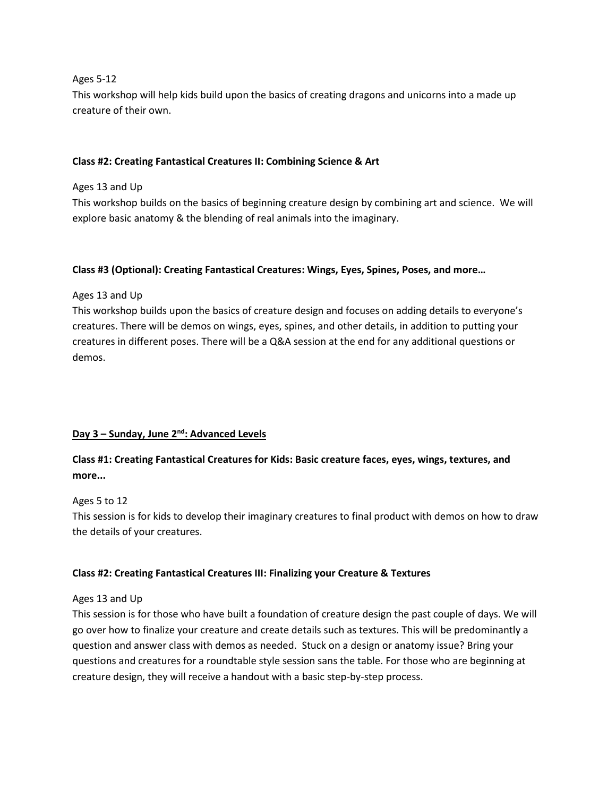#### Ages 5-12

This workshop will help kids build upon the basics of creating dragons and unicorns into a made up creature of their own.

# **Class #2: Creating Fantastical Creatures II: Combining Science & Art**

# Ages 13 and Up

This workshop builds on the basics of beginning creature design by combining art and science. We will explore basic anatomy & the blending of real animals into the imaginary.

# **Class #3 (Optional): Creating Fantastical Creatures: Wings, Eyes, Spines, Poses, and more…**

# Ages 13 and Up

This workshop builds upon the basics of creature design and focuses on adding details to everyone's creatures. There will be demos on wings, eyes, spines, and other details, in addition to putting your creatures in different poses. There will be a Q&A session at the end for any additional questions or demos.

# **Day 3 – Sunday, June 2 nd: Advanced Levels**

# **Class #1: Creating Fantastical Creatures for Kids: Basic creature faces, eyes, wings, textures, and more...**

#### Ages 5 to 12

This session is for kids to develop their imaginary creatures to final product with demos on how to draw the details of your creatures.

# **Class #2: Creating Fantastical Creatures III: Finalizing your Creature & Textures**

#### Ages 13 and Up

This session is for those who have built a foundation of creature design the past couple of days. We will go over how to finalize your creature and create details such as textures. This will be predominantly a question and answer class with demos as needed. Stuck on a design or anatomy issue? Bring your questions and creatures for a roundtable style session sans the table. For those who are beginning at creature design, they will receive a handout with a basic step-by-step process.